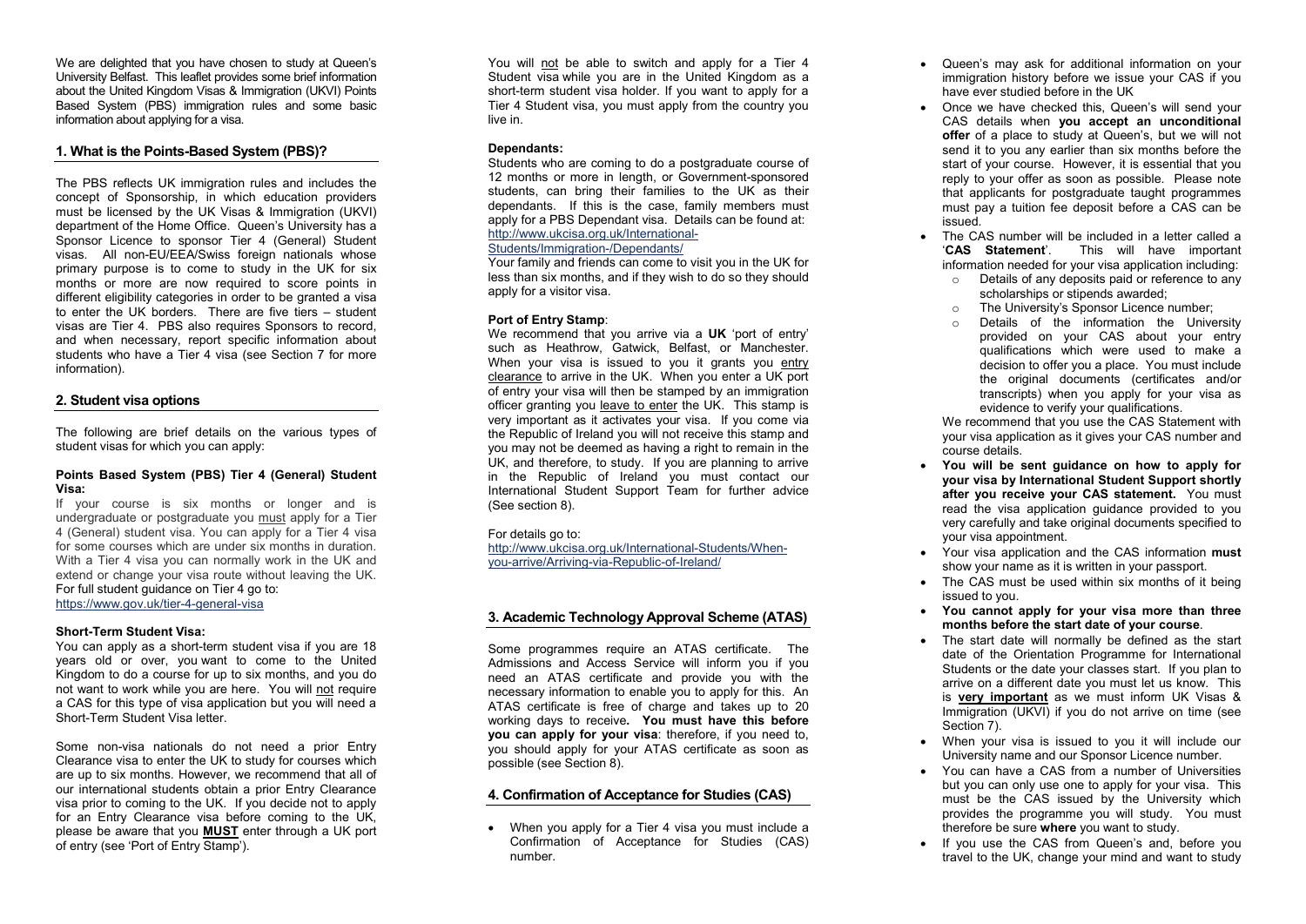We are delighted that you have chosen to study at Queen's University Belfast. This leaflet provides some brief information about the United Kingdom Visas & Immigration (UKVI ) Points Based System (PBS) immigration rules and some basic information about applying for a visa .

# **1. What is the Points -Based System (PBS) ?**

The PBS reflects UK immigration rules and includes the concept of Sponsorship, in which education providers must be licensed by the UK Visas & Immigration (UKVI ) department of the Home Office. Queen's University has a Sponsor Licence to sponsor Tier 4 (General) Student visas . All non -EU/EEA/Swiss foreign nationals whose primary purpose is to come to study in the UK for six months or more are now required to score points in different eligibility categories in order to be granted a visa to enter the UK borders. There are five tiers – student visas are Tier 4. PBS also requires Sponsors to record, and when necessary, report specific information about students who have a Tier 4 visa (see Section 7 for more information).

## **2. Student visa options**

The following are brief details on the various types of student visas for which you can apply :

### **Points Based System (PBS) Tier 4 (General) Student Visa:**

If your course is six months or longer and is undergraduate or postgraduate you must apply for a Tier 4 ( General) student visa. You can apply for a Tier 4 visa for some courses which are under six months in duration. With a Tier 4 visa you can normally work in the UK and extend or change your visa route without leaving the UK. For full student guidance on Tier 4 go to: <u>https://www.gov.uk/tier-4-general-visa</u>

## **Short -Term Student Visa:**

You can apply as a short -term student vis a if you are 18 years old or over, you want to come to the United Kingdom to do a course for up to six months, and you do not want to work while you are here. You will not require a CAS for this type of visa application but you will need a Short -Term Student Visa letter.

Some non -visa nationals do not need a prior Entry Clearance visa to enter the UK to study for courses which are up to six months. However, we recommend that all of our international students obtain a prior Entry Clearance visa prior to coming to the UK. If you decide not to apply for an Entry Clearance visa before coming to the UK, please be aware that you **MUST** enter through a UK port of entry (see 'Port of Entry Stamp').

You will not be able to switch and apply for a Tier 4 Student visa while you are in the United Kingdom as a short -term student visa holder. If you want to apply for a Tier 4 Student visa, you must apply from the country you live in.

## **Dependants:**

Students who are coming to do a postgraduate course of 12 months or more in length, or Government -sponsored students, can bring their families to the UK as their dependants. If this is the case, family members must apply for a PBS Dependant visa. Details can be found at: http://www.ukcisa.org.uk/International -

#### Students/Immigration-/Dependants/

Your family and friends can come to visit you in the UK for less than six months, and if they wish to do so they should apply for a visitor visa.

## **Port of Entry Stamp** :

We recommend that you arrive via a UK 'port of entry' such as Heathrow. Gatwick. Belfast, or Manchester. When your visa is issued to you it grants you entry clearance to arrive in the UK. When you enter a UK port of entry your visa will then be stamped by an immigration officer granting you leave to enter the UK. This stamp is very important as it activates your visa. If you come via the Republic of Ireland you will not receive this stamp and you may not be deemed as having a right to remain in the UK, and therefore, to study. If you are planning to arrive in the Republic of Ireland you must contact our International Student Support Team for further advice (See section 8).

## For details go to:

http://www.ukcisa.org.uk/International-Students/Whenyou -arrive/Arriving -via -Republic -of-Ireland/

# **3. Academic Technology Approval Scheme (ATAS)**

Some programmes require an ATAS certificate. The Admissions and Access Service will inform you if you need an ATAS certificate and provide you with the necessary information to enable you to apply for this. An ATAS certificate is free of charge and takes up to 20 working days to receive**. You must have this before** you can apply for your visa: therefore, if you need to, you should apply for your ATAS certificate as soon as possible (see Section 8).

# **4. Confirmation of Acceptance for Studies (CAS)**

 When you apply for a Tier 4 visa you must include a Confirmation of Acceptance for Studies (CAS) number .

- Queen's may ask for additional information on your immigration history before we issue your CAS if you have ever studied before in the UK
- Once we have checked this, Queen's will send your CAS details when **you accept an unconditional offer** of a place to study at Queen's, but we will not send it to you any earlier than six months before the start of your course. However, it is essential that you reply to your offer as soon as possible. Please note that applicants for postgraduate taught programmes must pay a tuition fee deposit before a CAS can be issued.
- The CAS number will be included in a letter called a '**CAS Statement**'. This will have important information needed for your visa application including :
	- o Details of any deposits paid or reference to any scholarships or stipends awarded;
	- o The University's Sponsor Licence number;
	- o Details of the information the University provided on your CAS about your entry qualifications which were used to make a decision to offer you a place. You must include the original documents (certificates and/or transcripts) when you apply for your visa as evidence to verify your qualifications.

We recommend that you use the CAS Statement with your visa application as it gives your CAS number and course details.

- **You will be sent guidance on how to apply for your visa by International Student Support shortly after you receive your CAS statement.** You must read the visa application guidance provided to you very carefully and take original documents specified to your visa appointment.
- Your visa application and the CAS information **must** show your name as it is written in your passport.
- The CAS must be used within six months of it being issued to you.
- **You cannot apply for your visa more than three months before the start date of your course** .
- The start date will normally be defined as the start date of the Orientation Programme for International Students or the date your classes start. If you plan to arrive on a different date you must let us know. This is **very important** as we must inform UK Visas & Immigration (UKVI) if you do not arrive on time (see Section 7).
- When your visa is issued to you it will include o ur University name and our Sponsor Licence number.
- You can have a CAS from a number of Universities but you can only use one to apply for your visa. This must be the CAS issued by the University which provides the programme you will study. You must therefore be sure **where** you want to study.
- If you use the CAS from Queen's and, before you travel to the UK, change your mind and want to study